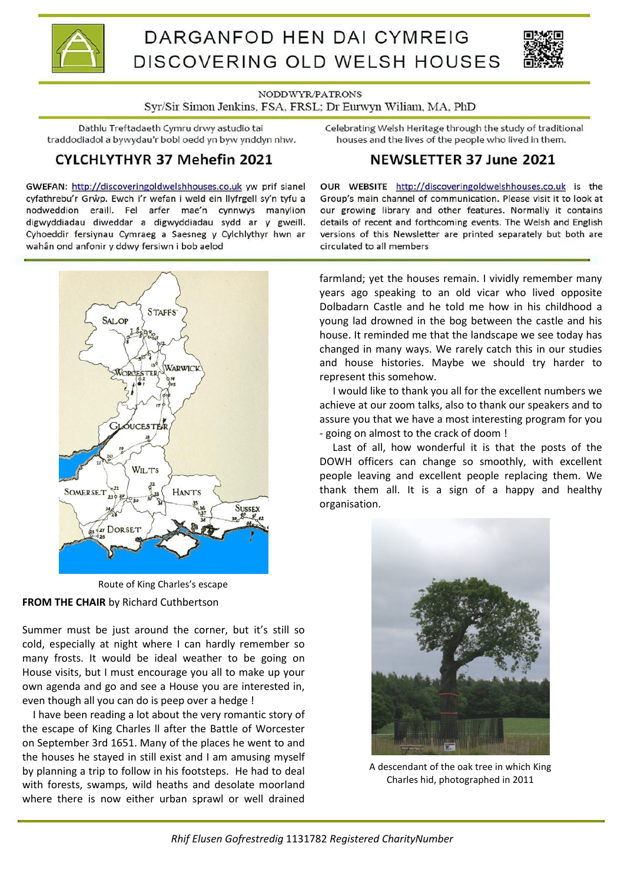



NODDWYR/PATRONS

Syr/Sir Simon Jenkins, FSA, FRSL; Dr Eurwyn Wiliam, MA, PhD

Dathlu Treftadaeth Cymru drwy astudio tai traddodiadol a bywydau'r bobl oedd yn byw ynddyn nhw.

# CYLCHLYTHYR 37 Mehefin 2021

GWEFAN: http://discoveringoldwelshhouses.co.uk yw prif sianel cyfathrebu'r Grŵp. Ewch i'r wefan i weld ein llyfrgell sy'n tyfu a nodweddion eraill. Fel arfer mae'n cynnwys manylion digwyddiadau diweddar a digwyddiadau sydd ar y gweill. Cyhoeddir fersiynau Cymraeg a Saesneg y Cylchlythyr hwn ar wahân ond anfonir y ddwy fersiwn i bob aelod

Celebrating Welsh Heritage through the study of traditional houses and the lives of the people who lived in them.

# **NEWSLETTER 37 June 2021**

OUR WEBSITE http://discoveringoldwelshhouses.co.uk is the Group's main channel of communication. Please visit it to look at our growing library and other features. Normally it contains details of recent and forthcoming events. The Welsh and English versions of this Newsletter are printed separately but both are circulated to all members

**STAFFS** SAL OF WARWICL **ICESTE WILTS SOMERSET HANT'S**  $23021$ SUSSEX **V27 DORSET** 

**FROM THE CHAIR** by Richard Cuthbertson Route of King Charles's escape

Summer must be just around the corner, but it's still so cold, especially at night where I can hardly remember so many frosts. It would be ideal weather to be going on House visits, but I must encourage you all to make up your own agenda and go and see a House you are interested in, even though all you can do is peep over a hedge !

 I have been reading a lot about the very romantic story of the escape of King Charles ll after the Battle of Worcester on September 3rd 1651. Many of the places he went to and the houses he stayed in still exist and I am amusing myself by planning a trip to follow in his footsteps. He had to deal with forests, swamps, wild heaths and desolate moorland where there is now either urban sprawl or well drained

farmland; yet the houses remain. I vividly remember many years ago speaking to an old vicar who lived opposite Dolbadarn Castle and he told me how in his childhood a young lad drowned in the bog between the castle and his house. It reminded me that the landscape we see today has changed in many ways. We rarely catch this in our studies and house histories. Maybe we should try harder to represent this somehow.

 I would like to thank you all for the excellent numbers we achieve at our zoom talks, also to thank our speakers and to assure you that we have a most interesting program for you - going on almost to the crack of doom !

 Last of all, how wonderful it is that the posts of the DOWH officers can change so smoothly, with excellent people leaving and excellent people replacing them. We thank them all. It is a sign of a happy and healthy organisation.



A descendant of the oak tree in which King Charles hid, photographed in 2011

*Rhif Elusen Gofrestredig* 1131782 *Registered CharityNumber*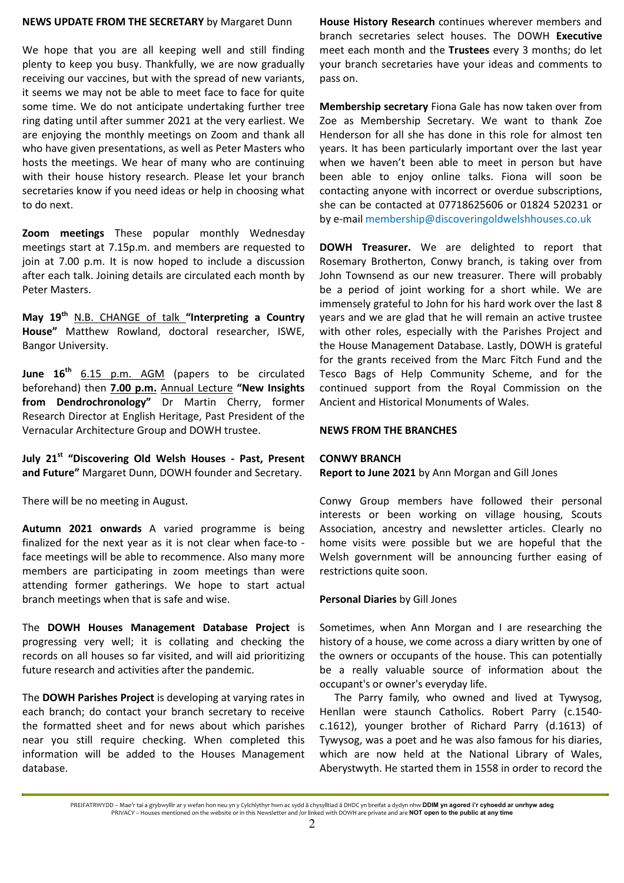## **NEWS UPDATE FROM THE SECRETARY** by Margaret Dunn

We hope that you are all keeping well and still finding plenty to keep you busy. Thankfully, we are now gradually receiving our vaccines, but with the spread of new variants, it seems we may not be able to meet face to face for quite some time. We do not anticipate undertaking further tree ring dating until after summer 2021 at the very earliest. We are enjoying the monthly meetings on Zoom and thank all who have given presentations, as well as Peter Masters who hosts the meetings. We hear of many who are continuing with their house history research. Please let your branch secretaries know if you need ideas or help in choosing what to do next.

**Zoom meetings** These popular monthly Wednesday meetings start at 7.15p.m. and members are requested to join at 7.00 p.m. It is now hoped to include a discussion after each talk. Joining details are circulated each month by Peter Masters.

**May 19th** N.B. CHANGE of talk **"Interpreting a Country House"** Matthew Rowland, doctoral researcher, ISWE, Bangor University.

**June 16th** 6.15 p.m. AGM (papers to be circulated beforehand) then **7.00 p.m.** Annual Lecture **"New Insights from Dendrochronology"** Dr Martin Cherry, former Research Director at English Heritage, Past President of the Vernacular Architecture Group and DOWH trustee.

**July 21st "Discovering Old Welsh Houses - Past, Present and Future"** Margaret Dunn, DOWH founder and Secretary.

There will be no meeting in August.

**Autumn 2021 onwards** A varied programme is being finalized for the next year as it is not clear when face-to face meetings will be able to recommence. Also many more members are participating in zoom meetings than were attending former gatherings. We hope to start actual branch meetings when that is safe and wise.

The **DOWH Houses Management Database Project** is progressing very well; it is collating and checking the records on all houses so far visited, and will aid prioritizing future research and activities after the pandemic.

The **DOWH Parishes Project** is developing at varying rates in each branch; do contact your branch secretary to receive the formatted sheet and for news about which parishes near you still require checking. When completed this information will be added to the Houses Management database.

**House History Research** continues wherever members and branch secretaries select houses. The DOWH **Executive** meet each month and the **Trustees** every 3 months; do let your branch secretaries have your ideas and comments to pass on.

**Membership secretary** Fiona Gale has now taken over from Zoe as Membership Secretary. We want to thank Zoe Henderson for all she has done in this role for almost ten years. It has been particularly important over the last year when we haven't been able to meet in person but have been able to enjoy online talks. Fiona will soon be contacting anyone with incorrect or overdue subscriptions, she can be contacted at 07718625606 or 01824 520231 or by e-mail membership@discoveringoldwelshhouses.co.uk

**DOWH Treasurer.** We are delighted to report that Rosemary Brotherton, Conwy branch, is taking over from John Townsend as our new treasurer. There will probably be a period of joint working for a short while. We are immensely grateful to John for his hard work over the last 8 years and we are glad that he will remain an active trustee with other roles, especially with the Parishes Project and the House Management Database. Lastly, DOWH is grateful for the grants received from the Marc Fitch Fund and the Tesco Bags of Help Community Scheme, and for the continued support from the Royal Commission on the Ancient and Historical Monuments of Wales.

## **NEWS FROM THE BRANCHES**

# **CONWY BRANCH**

**Report to June 2021** by Ann Morgan and Gill Jones

Conwy Group members have followed their personal interests or been working on village housing, Scouts Association, ancestry and newsletter articles. Clearly no home visits were possible but we are hopeful that the Welsh government will be announcing further easing of restrictions quite soon.

# **Personal Diaries** by Gill Jones

Sometimes, when Ann Morgan and I are researching the history of a house, we come across a diary written by one of the owners or occupants of the house. This can potentially be a really valuable source of information about the occupant's or owner's everyday life.

The Parry family, who owned and lived at Tywysog, Henllan were staunch Catholics. Robert Parry (c.1540 c.1612), younger brother of Richard Parry (d.1613) of Tywysog, was a poet and he was also famous for his diaries, which are now held at the National Library of Wales, Aberystwyth. He started them in 1558 in order to record the

PREIFATRWYDD – Mae'r tai a grybwyllir ar y wefan hon neu yn y Cylchlythyr hwn ac sydd â chysylltiad â DHDC yn breifat a dydyn nhw **DDIM yn agored i'r cyhoedd ar unrhyw adeg** PRIVACY – Houses mentioned on the website or in this Newsletter and /or linked with DOWH are private and are **NOT open to the public at any time**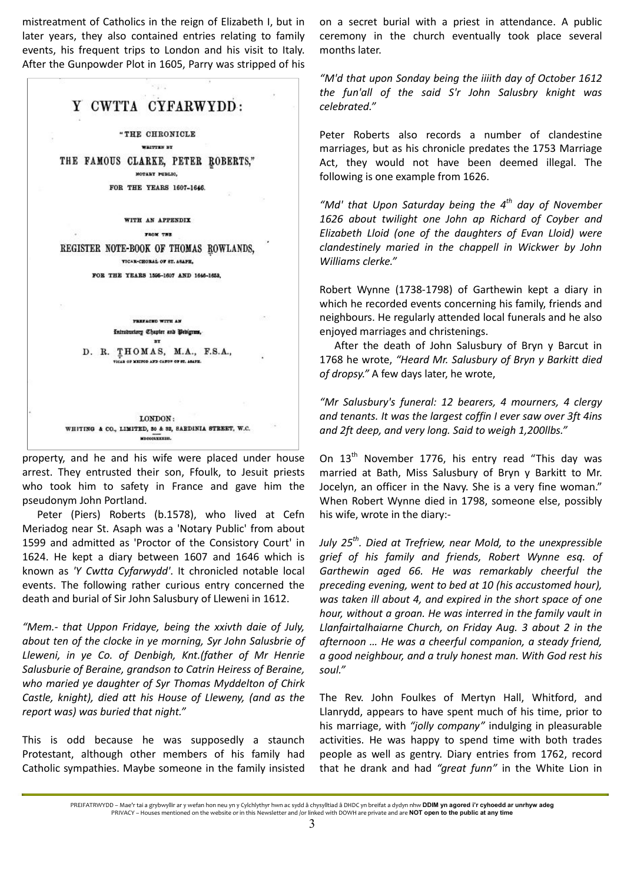mistreatment of Catholics in the reign of Elizabeth I, but in later years, they also contained entries relating to family events, his frequent trips to London and his visit to Italy. After the Gunpowder Plot in 1605, Parry was stripped of his



property, and he and his wife were placed under house arrest. They entrusted their son, Ffoulk, to Jesuit priests who took him to safety in France and gave him the pseudonym John Portland.

Peter (Piers) Roberts (b.1578), who lived at Cefn Meriadog near St. Asaph was a 'Notary Public' from about 1599 and admitted as 'Proctor of the Consistory Court' in 1624. He kept a diary between 1607 and 1646 which is known as *'Y Cwtta Cyfarwydd'*. It chronicled notable local events. The following rather curious entry concerned the death and burial of Sir John Salusbury of Lleweni in 1612.

*"Mem.- that Uppon Fridaye, being the xxivth daie of July, about ten of the clocke in ye morning, Syr John Salusbrie of Lleweni, in ye Co. of Denbigh, Knt.(father of Mr Henrie Salusburie of Beraine, grandson to Catrin Heiress of Beraine, who maried ye daughter of Syr Thomas Myddelton of Chirk Castle, knight), died att his House of Lleweny, (and as the report was) was buried that night."*

This is odd because he was supposedly a staunch Protestant, although other members of his family had Catholic sympathies. Maybe someone in the family insisted

on a secret burial with a priest in attendance. A public ceremony in the church eventually took place several months later.

*"M'd that upon Sonday being the iiiith day of October 1612 the fun'all of the said S'r John Salusbry knight was celebrated."* 

Peter Roberts also records a number of clandestine marriages, but as his chronicle predates the 1753 Marriage Act, they would not have been deemed illegal. The following is one example from 1626.

*"Md' that Upon Saturday being the 4th day of November 1626 about twilight one John ap Richard of Coyber and Elizabeth Lloid (one of the daughters of Evan Lloid) were clandestinely maried in the chappell in Wickwer by John Williams clerke."* 

Robert Wynne (1738-1798) of Garthewin kept a diary in which he recorded events concerning his family, friends and neighbours. He regularly attended local funerals and he also enjoyed marriages and christenings.

After the death of John Salusbury of Bryn y Barcut in 1768 he wrote, *"Heard Mr. Salusbury of Bryn y Barkitt died of dropsy."* A few days later, he wrote,

*"Mr Salusbury's funeral: 12 bearers, 4 mourners, 4 clergy and tenants. It was the largest coffin I ever saw over 3ft 4ins and 2ft deep, and very long. Said to weigh 1,200llbs."* 

On  $13<sup>th</sup>$  November 1776, his entry read "This day was married at Bath, Miss Salusbury of Bryn y Barkitt to Mr. Jocelyn, an officer in the Navy. She is a very fine woman." When Robert Wynne died in 1798, someone else, possibly his wife, wrote in the diary:-

*July 25th. Died at Trefriew, near Mold, to the unexpressible grief of his family and friends, Robert Wynne esq. of Garthewin aged 66. He was remarkably cheerful the preceding evening, went to bed at 10 (his accustomed hour), was taken ill about 4, and expired in the short space of one hour, without a groan. He was interred in the family vault in Llanfairtalhaiarne Church, on Friday Aug. 3 about 2 in the afternoon … He was a cheerful companion, a steady friend, a good neighbour, and a truly honest man. With God rest his soul."* 

The Rev. John Foulkes of Mertyn Hall, Whitford, and Llanrydd, appears to have spent much of his time, prior to his marriage, with *"jolly company"* indulging in pleasurable activities. He was happy to spend time with both trades people as well as gentry. Diary entries from 1762, record that he drank and had *"great funn"* in the White Lion in

PREIFATRWYDD – Mae'r tai a grybwyllir ar y wefan hon neu yn y Cylchlythyr hwn ac sydd â chysylltiad â DHDC yn breifat a dydyn nhw **DDIM yn agored i'r cyhoedd ar unrhyw adeg** PRIVACY – Houses mentioned on the website or in this Newsletter and /or linked with DOWH are private and are **NOT open to the public at any time**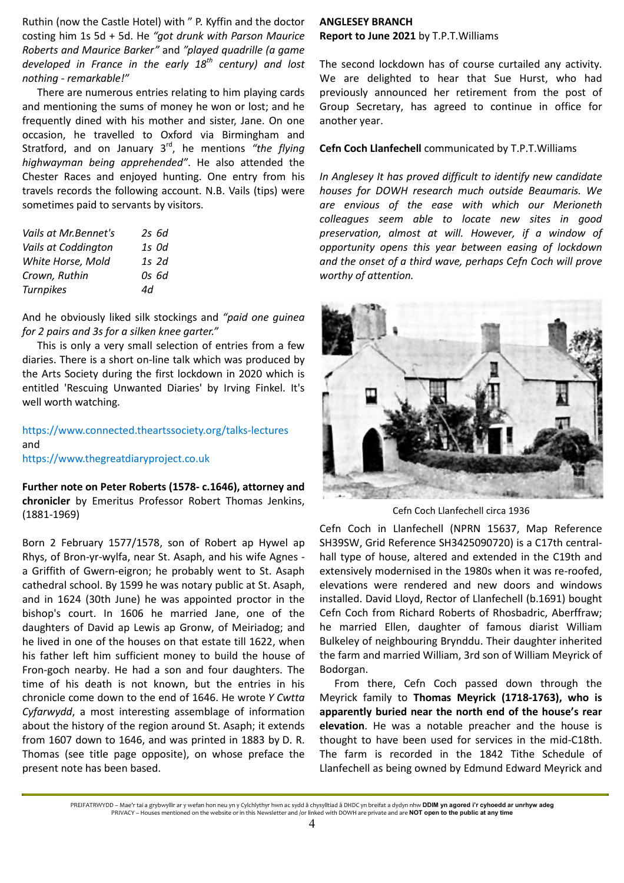Ruthin (now the Castle Hotel) with " P. Kyffin and the doctor costing him 1s 5d + 5d. He *"got drunk with Parson Maurice Roberts and Maurice Barker"* and *"played quadrille (a game developed in France in the early 18th century) and lost nothing - remarkable!"* 

There are numerous entries relating to him playing cards and mentioning the sums of money he won or lost; and he frequently dined with his mother and sister, Jane. On one occasion, he travelled to Oxford via Birmingham and Stratford, and on January 3<sup>rd</sup>, he mentions "the flying *highwayman being apprehended"*. He also attended the Chester Races and enjoyed hunting. One entry from his travels records the following account. N.B. Vails (tips) were sometimes paid to servants by visitors.

| Vails at Mr. Bennet's | $2s$ 6d |
|-----------------------|---------|
| Vails at Coddington   | 1s Od   |
| White Horse, Mold     | 1s 2d   |
| Crown, Ruthin         | 0s 6d   |
| <b>Turnpikes</b>      | 4d      |

And he obviously liked silk stockings and *"paid one guinea for 2 pairs and 3s for a silken knee garter."* 

This is only a very small selection of entries from a few diaries. There is a short on-line talk which was produced by the Arts Society during the first lockdown in 2020 which is entitled 'Rescuing Unwanted Diaries' by Irving Finkel. It's well worth watching.

https://www.connected.theartssociety.org/talks-lectures and https://www.thegreatdiaryproject.co.uk

**Further note on Peter Roberts (1578- c.1646), attorney and chronicler** by Emeritus Professor Robert Thomas Jenkins, (1881-1969)

Born 2 February 1577/1578, son of Robert ap Hywel ap Rhys, of Bron-yr-wylfa, near St. Asaph, and his wife Agnes a Griffith of Gwern-eigron; he probably went to St. Asaph cathedral school. By 1599 he was notary public at St. Asaph, and in 1624 (30th June) he was appointed proctor in the bishop's court. In 1606 he married Jane, one of the daughters of David ap Lewis ap Gronw, of Meiriadog; and he lived in one of the houses on that estate till 1622, when his father left him sufficient money to build the house of Fron-goch nearby. He had a son and four daughters. The time of his death is not known, but the entries in his chronicle come down to the end of 1646. He wrote *Y Cwtta Cyfarwydd*, a most interesting assemblage of information about the history of the region around St. Asaph; it extends from 1607 down to 1646, and was printed in 1883 by D. R. Thomas (see title page opposite), on whose preface the present note has been based.

# **ANGLESEY BRANCH Report to June 2021** by T.P.T.Williams

The second lockdown has of course curtailed any activity. We are delighted to hear that Sue Hurst, who had previously announced her retirement from the post of Group Secretary, has agreed to continue in office for another year.

# **Cefn Coch Llanfechell** communicated by T.P.T.Williams

*In Anglesey It has proved difficult to identify new candidate houses for DOWH research much outside Beaumaris. We are envious of the ease with which our Merioneth colleagues seem able to locate new sites in good preservation, almost at will. However, if a window of opportunity opens this year between easing of lockdown and the onset of a third wave, perhaps Cefn Coch will prove worthy of attention.* 



Cefn Coch Llanfechell circa 1936

Cefn Coch in Llanfechell (NPRN 15637, Map Reference SH39SW, Grid Reference SH3425090720) is a C17th centralhall type of house, altered and extended in the C19th and extensively modernised in the 1980s when it was re-roofed, elevations were rendered and new doors and windows installed. David Lloyd, Rector of Llanfechell (b.1691) bought Cefn Coch from Richard Roberts of Rhosbadric, Aberffraw; he married Ellen, daughter of famous diarist William Bulkeley of neighbouring Brynddu. Their daughter inherited the farm and married William, 3rd son of William Meyrick of Bodorgan.

From there, Cefn Coch passed down through the Meyrick family to **Thomas Meyrick (1718-1763), who is apparently buried near the north end of the house's rear elevation**. He was a notable preacher and the house is thought to have been used for services in the mid-C18th. The farm is recorded in the 1842 Tithe Schedule of Llanfechell as being owned by Edmund Edward Meyrick and

PREIFATRWYDD – Mae'r tai a grybwyllir ar y wefan hon neu yn y Cylchlythyr hwn ac sydd â chysylltiad â DHDC yn breifat a dydyn nhw **DDIM yn agored i'r cyhoedd ar unrhyw adeg** PRIVACY – Houses mentioned on the website or in this Newsletter and /or linked with DOWH are private and are **NOT open to the public at any time**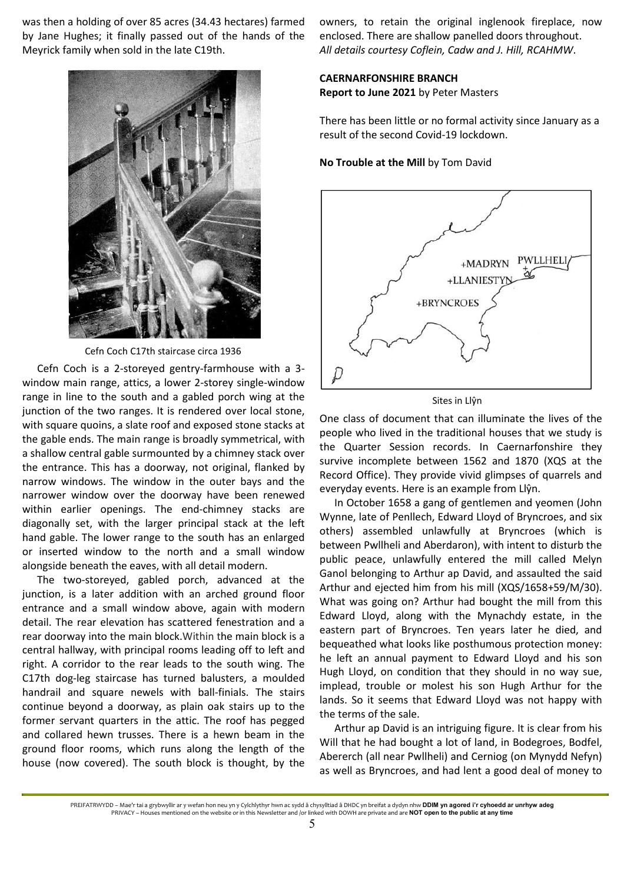was then a holding of over 85 acres (34.43 hectares) farmed by Jane Hughes; it finally passed out of the hands of the Meyrick family when sold in the late C19th.



Cefn Coch C17th staircase circa 1936

Cefn Coch is a 2-storeyed gentry-farmhouse with a 3 window main range, attics, a lower 2-storey single-window range in line to the south and a gabled porch wing at the junction of the two ranges. It is rendered over local stone, with square quoins, a slate roof and exposed stone stacks at the gable ends. The main range is broadly symmetrical, with a shallow central gable surmounted by a chimney stack over the entrance. This has a doorway, not original, flanked by narrow windows. The window in the outer bays and the narrower window over the doorway have been renewed within earlier openings. The end-chimney stacks are diagonally set, with the larger principal stack at the left hand gable. The lower range to the south has an enlarged or inserted window to the north and a small window alongside beneath the eaves, with all detail modern.

The two-storeyed, gabled porch, advanced at the junction, is a later addition with an arched ground floor entrance and a small window above, again with modern detail. The rear elevation has scattered fenestration and a rear doorway into the main block.Within the main block is a central hallway, with principal rooms leading off to left and right. A corridor to the rear leads to the south wing. The C17th dog-leg staircase has turned balusters, a moulded handrail and square newels with ball-finials. The stairs continue beyond a doorway, as plain oak stairs up to the former servant quarters in the attic. The roof has pegged and collared hewn trusses. There is a hewn beam in the ground floor rooms, which runs along the length of the house (now covered). The south block is thought, by the

owners, to retain the original inglenook fireplace, now enclosed. There are shallow panelled doors throughout. *All details courtesy Coflein, Cadw and J. Hill, RCAHMW*.

# **CAERNARFONSHIRE BRANCH**

**Report to June 2021** by Peter Masters

There has been little or no formal activity since January as a result of the second Covid-19 lockdown.

## **No Trouble at the Mill** by Tom David



Sites in Llŷn

One class of document that can illuminate the lives of the people who lived in the traditional houses that we study is the Quarter Session records. In Caernarfonshire they survive incomplete between 1562 and 1870 (XQS at the Record Office). They provide vivid glimpses of quarrels and everyday events. Here is an example from Llŷn.

In October 1658 a gang of gentlemen and yeomen (John Wynne, late of Penllech, Edward Lloyd of Bryncroes, and six others) assembled unlawfully at Bryncroes (which is between Pwllheli and Aberdaron), with intent to disturb the public peace, unlawfully entered the mill called Melyn Ganol belonging to Arthur ap David, and assaulted the said Arthur and ejected him from his mill (XQS/1658+59/M/30). What was going on? Arthur had bought the mill from this Edward Lloyd, along with the Mynachdy estate, in the eastern part of Bryncroes. Ten years later he died, and bequeathed what looks like posthumous protection money: he left an annual payment to Edward Lloyd and his son Hugh Lloyd, on condition that they should in no way sue, implead, trouble or molest his son Hugh Arthur for the lands. So it seems that Edward Lloyd was not happy with the terms of the sale.

Arthur ap David is an intriguing figure. It is clear from his Will that he had bought a lot of land, in Bodegroes, Bodfel, Abererch (all near Pwllheli) and Cerniog (on Mynydd Nefyn) as well as Bryncroes, and had lent a good deal of money to

PREIFATRWYDD – Mae'r tai a grybwyllir ar y wefan hon neu yn y Cylchlythyr hwn ac sydd â chysylltiad â DHDC yn breifat a dydyn nhw **DDIM yn agored i'r cyhoedd ar unrhyw adeg** PRIVACY – Houses mentioned on the website or in this Newsletter and /or linked with DOWH are private and are **NOT open to the public at any time**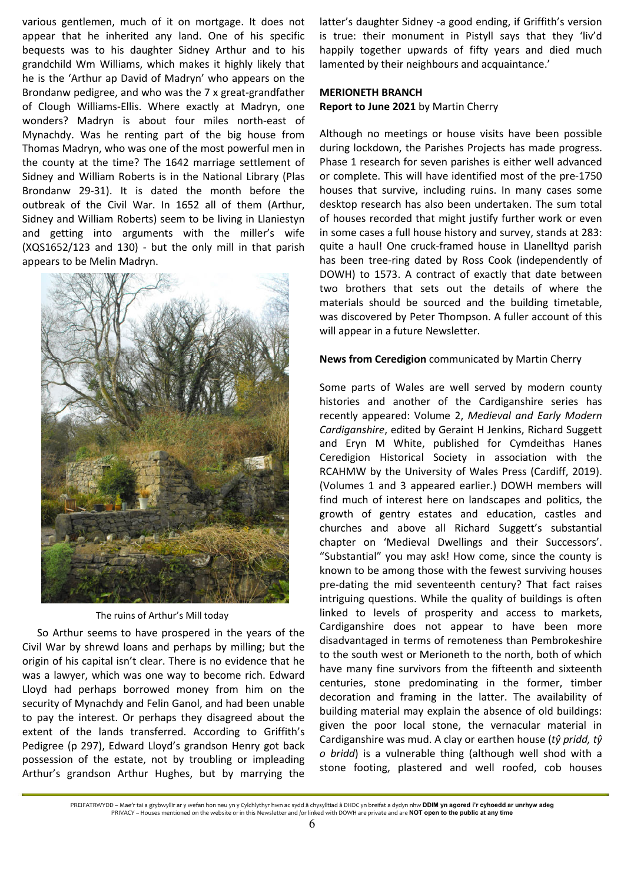various gentlemen, much of it on mortgage. It does not appear that he inherited any land. One of his specific bequests was to his daughter Sidney Arthur and to his grandchild Wm Williams, which makes it highly likely that he is the 'Arthur ap David of Madryn' who appears on the Brondanw pedigree, and who was the 7 x great-grandfather of Clough Williams-Ellis. Where exactly at Madryn, one wonders? Madryn is about four miles north-east of Mynachdy. Was he renting part of the big house from Thomas Madryn, who was one of the most powerful men in the county at the time? The 1642 marriage settlement of Sidney and William Roberts is in the National Library (Plas Brondanw 29-31). It is dated the month before the outbreak of the Civil War. In 1652 all of them (Arthur, Sidney and William Roberts) seem to be living in Llaniestyn and getting into arguments with the miller's wife (XQS1652/123 and 130) - but the only mill in that parish appears to be Melin Madryn.



The ruins of Arthur's Mill today

So Arthur seems to have prospered in the years of the Civil War by shrewd loans and perhaps by milling; but the origin of his capital isn't clear. There is no evidence that he was a lawyer, which was one way to become rich. Edward Lloyd had perhaps borrowed money from him on the security of Mynachdy and Felin Ganol, and had been unable to pay the interest. Or perhaps they disagreed about the extent of the lands transferred. According to Griffith's Pedigree (p 297), Edward Lloyd's grandson Henry got back possession of the estate, not by troubling or impleading Arthur's grandson Arthur Hughes, but by marrying the

latter's daughter Sidney -a good ending, if Griffith's version is true: their monument in Pistyll says that they 'liv'd happily together upwards of fifty years and died much lamented by their neighbours and acquaintance.'

# **MERIONETH BRANCH Report to June 2021** by Martin Cherry

Although no meetings or house visits have been possible during lockdown, the Parishes Projects has made progress. Phase 1 research for seven parishes is either well advanced or complete. This will have identified most of the pre-1750 houses that survive, including ruins. In many cases some desktop research has also been undertaken. The sum total of houses recorded that might justify further work or even in some cases a full house history and survey, stands at 283: quite a haul! One cruck-framed house in Llanelltyd parish has been tree-ring dated by Ross Cook (independently of DOWH) to 1573. A contract of exactly that date between two brothers that sets out the details of where the materials should be sourced and the building timetable, was discovered by Peter Thompson. A fuller account of this will appear in a future Newsletter.

# **News from Ceredigion** communicated by Martin Cherry

Some parts of Wales are well served by modern county histories and another of the Cardiganshire series has recently appeared: Volume 2, *Medieval and Early Modern Cardiganshire*, edited by Geraint H Jenkins, Richard Suggett and Eryn M White, published for Cymdeithas Hanes Ceredigion Historical Society in association with the RCAHMW by the University of Wales Press (Cardiff, 2019). (Volumes 1 and 3 appeared earlier.) DOWH members will find much of interest here on landscapes and politics, the growth of gentry estates and education, castles and churches and above all Richard Suggett's substantial chapter on 'Medieval Dwellings and their Successors'. "Substantial" you may ask! How come, since the county is known to be among those with the fewest surviving houses pre-dating the mid seventeenth century? That fact raises intriguing questions. While the quality of buildings is often linked to levels of prosperity and access to markets, Cardiganshire does not appear to have been more disadvantaged in terms of remoteness than Pembrokeshire to the south west or Merioneth to the north, both of which have many fine survivors from the fifteenth and sixteenth centuries, stone predominating in the former, timber decoration and framing in the latter. The availability of building material may explain the absence of old buildings: given the poor local stone, the vernacular material in Cardiganshire was mud. A clay or earthen house (*tŷ pridd, tŷ o bridd*) is a vulnerable thing (although well shod with a stone footing, plastered and well roofed, cob houses

PREIFATRWYDD – Mae'r tai a grybwyllir ar y wefan hon neu yn y Cylchlythyr hwn ac sydd â chysylltiad â DHDC yn breifat a dydyn nhw **DDIM yn agored i'r cyhoedd ar unrhyw adeg** PRIVACY – Houses mentioned on the website or in this Newsletter and /or linked with DOWH are private and are **NOT open to the public at any time**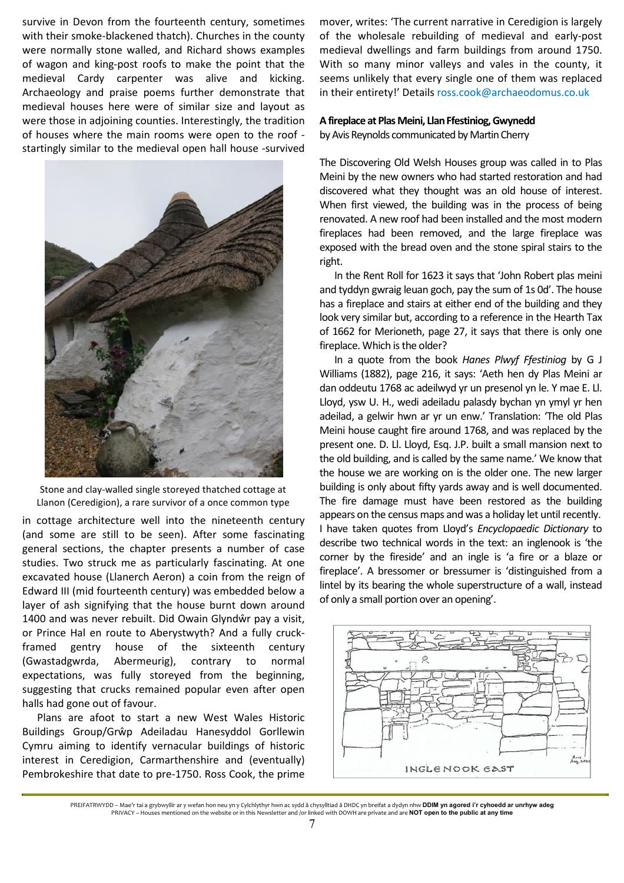survive in Devon from the fourteenth century, sometimes with their smoke-blackened thatch). Churches in the county were normally stone walled, and Richard shows examples of wagon and king-post roofs to make the point that the medieval Cardy carpenter was alive and kicking. Archaeology and praise poems further demonstrate that medieval houses here were of similar size and layout as were those in adjoining counties. Interestingly, the tradition of houses where the main rooms were open to the roof startingly similar to the medieval open hall house -survived



Stone and clay-walled single storeyed thatched cottage at Llanon (Ceredigion), a rare survivor of a once common type

in cottage architecture well into the nineteenth century (and some are still to be seen). After some fascinating general sections, the chapter presents a number of case studies. Two struck me as particularly fascinating. At one excavated house (Llanerch Aeron) a coin from the reign of Edward III (mid fourteenth century) was embedded below a layer of ash signifying that the house burnt down around 1400 and was never rebuilt. Did Owain Glyndŵr pay a visit, or Prince Hal en route to Aberystwyth? And a fully cruckframed gentry house of the sixteenth century (Gwastadgwrda, Abermeurig), contrary to normal expectations, was fully storeyed from the beginning, suggesting that crucks remained popular even after open halls had gone out of favour.

Plans are afoot to start a new West Wales Historic Buildings Group/Grŵp Adeiladau Hanesyddol Gorllewin Cymru aiming to identify vernacular buildings of historic interest in Ceredigion, Carmarthenshire and (eventually) Pembrokeshire that date to pre-1750. Ross Cook, the prime

mover, writes: 'The current narrative in Ceredigion is largely of the wholesale rebuilding of medieval and early-post medieval dwellings and farm buildings from around 1750. With so many minor valleys and vales in the county, it seems unlikely that every single one of them was replaced in their entirety!' Details ross.cook@archaeodomus.co.uk

## **A fireplace at Plas Meini, Llan Ffestiniog, Gwynedd**

by Avis Reynolds communicated by Martin Cherry

The Discovering Old Welsh Houses group was called in to Plas Meini by the new owners who had started restoration and had discovered what they thought was an old house of interest. When first viewed, the building was in the process of being renovated. A new roof had been installed and the most modern fireplaces had been removed, and the large fireplace was exposed with the bread oven and the stone spiral stairs to the right.

In the Rent Roll for 1623 it says that 'John Robert plas meini and tyddyn gwraig leuan goch, pay the sum of 1s 0d'. The house has a fireplace and stairs at either end of the building and they look very similar but, according to a reference in the Hearth Tax of 1662 for Merioneth, page 27, it says that there is only one fireplace. Which is the older?

In a quote from the book *Hanes Plwyf Ffestiniog* by G J Williams (1882), page 216, it says: 'Aeth hen dy Plas Meini ar dan oddeutu 1768 ac adeilwyd yr un presenol yn le. Y mae E. Ll. Lloyd, ysw U. H., wedi adeiladu palasdy bychan yn ymyl yr hen adeilad, a gelwir hwn ar yr un enw.' Translation: 'The old Plas Meini house caught fire around 1768, and was replaced by the present one. D. Ll. Lloyd, Esq. J.P. built a small mansion next to the old building, and is called by the same name.' We know that the house we are working on is the older one. The new larger building is only about fifty yards away and is well documented. The fire damage must have been restored as the building appears on the census maps and was a holiday let until recently. I have taken quotes from Lloyd's *Encyclopaedic Dictionary* to describe two technical words in the text: an inglenook is 'the corner by the fireside' and an ingle is 'a fire or a blaze or fireplace'. A bressomer or bressumer is 'distinguished from a lintel by its bearing the whole superstructure of a wall, instead of only a small portion over an opening'.



PREIFATRWYDD – Mae'r tai a grybwyllir ar y wefan hon neu yn y Cylchlythyr hwn ac sydd â chysylltiad â DHDC yn breifat a dydyn nhw **DDIM yn agored i'r cyhoedd ar unrhyw adeg** PRIVACY – Houses mentioned on the website or in this Newsletter and /or linked with DOWH are private and are **NOT open to the public at any time**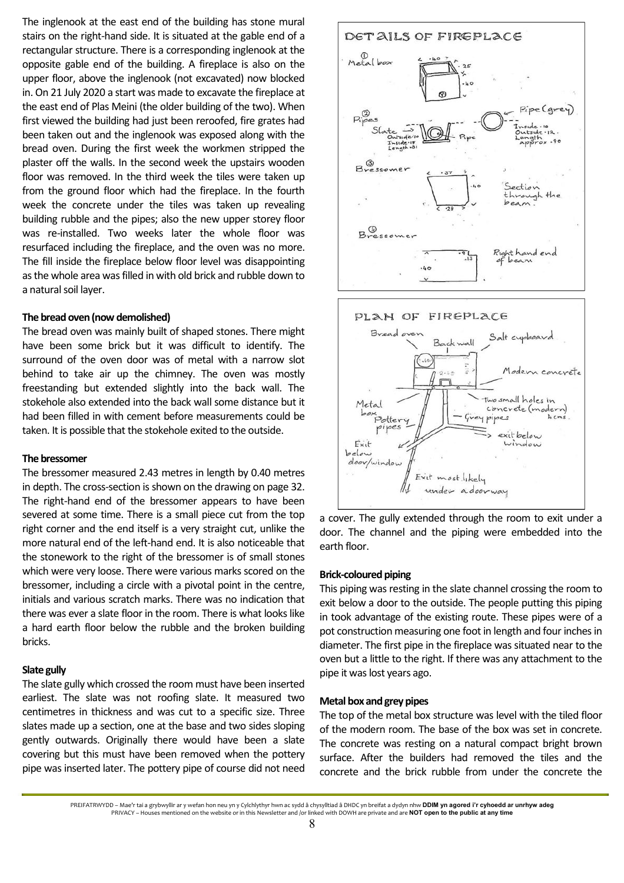The inglenook at the east end of the building has stone mural stairs on the right-hand side. It is situated at the gable end of a rectangular structure. There is a corresponding inglenook at the opposite gable end of the building. A fireplace is also on the upper floor, above the inglenook (not excavated) now blocked in. On 21 July 2020 a start was made to excavate the fireplace at the east end of Plas Meini (the older building of the two). When first viewed the building had just been reroofed, fire grates had been taken out and the inglenook was exposed along with the bread oven. During the first week the workmen stripped the plaster off the walls. In the second week the upstairs wooden floor was removed. In the third week the tiles were taken up from the ground floor which had the fireplace. In the fourth week the concrete under the tiles was taken up revealing building rubble and the pipes; also the new upper storey floor was re-installed. Two weeks later the whole floor was resurfaced including the fireplace, and the oven was no more. The fill inside the fireplace below floor level was disappointing as the whole area was filled in with old brick and rubble down to a natural soil layer.

#### **The bread oven (now demolished)**

The bread oven was mainly built of shaped stones. There might have been some brick but it was difficult to identify. The surround of the oven door was of metal with a narrow slot behind to take air up the chimney. The oven was mostly freestanding but extended slightly into the back wall. The stokehole also extended into the back wall some distance but it had been filled in with cement before measurements could be taken. It is possible that the stokehole exited to the outside.

#### **The bressomer**

The bressomer measured 2.43 metres in length by 0.40 metres in depth. The cross-section is shown on the drawing on page 32. The right-hand end of the bressomer appears to have been severed at some time. There is a small piece cut from the top right corner and the end itself is a very straight cut, unlike the more natural end of the left-hand end. It is also noticeable that the stonework to the right of the bressomer is of small stones which were very loose. There were various marks scored on the bressomer, including a circle with a pivotal point in the centre, initials and various scratch marks. There was no indication that there was ever a slate floor in the room. There is what looks like a hard earth floor below the rubble and the broken building bricks.

### **Slate gully**

The slate gully which crossed the room must have been inserted earliest. The slate was not roofing slate. It measured two centimetres in thickness and was cut to a specific size. Three slates made up a section, one at the base and two sides sloping gently outwards. Originally there would have been a slate covering but this must have been removed when the pottery pipe was inserted later. The pottery pipe of course did not need





a cover. The gully extended through the room to exit under a door. The channel and the piping were embedded into the earth floor.

#### **Brick-coloured piping**

This piping was resting in the slate channel crossing the room to exit below a door to the outside. The people putting this piping in took advantage of the existing route. These pipes were of a pot construction measuring one foot in length and four inches in diameter. The first pipe in the fireplace was situated near to the oven but a little to the right. If there was any attachment to the pipe it was lost years ago.

#### **Metal box and grey pipes**

The top of the metal box structure was level with the tiled floor of the modern room. The base of the box was set in concrete. The concrete was resting on a natural compact bright brown surface. After the builders had removed the tiles and the concrete and the brick rubble from under the concrete the

PREIFATRWYDD – Mae'r tai a grybwyllir ar y wefan hon neu yn y Cylchlythyr hwn ac sydd â chysylltiad â DHDC yn breifat a dydyn nhw **DDIM yn agored i'r cyhoedd ar unrhyw adeg** PRIVACY – Houses mentioned on the website or in this Newsletter and /or linked with DOWH are private and are **NOT open to the public at any time**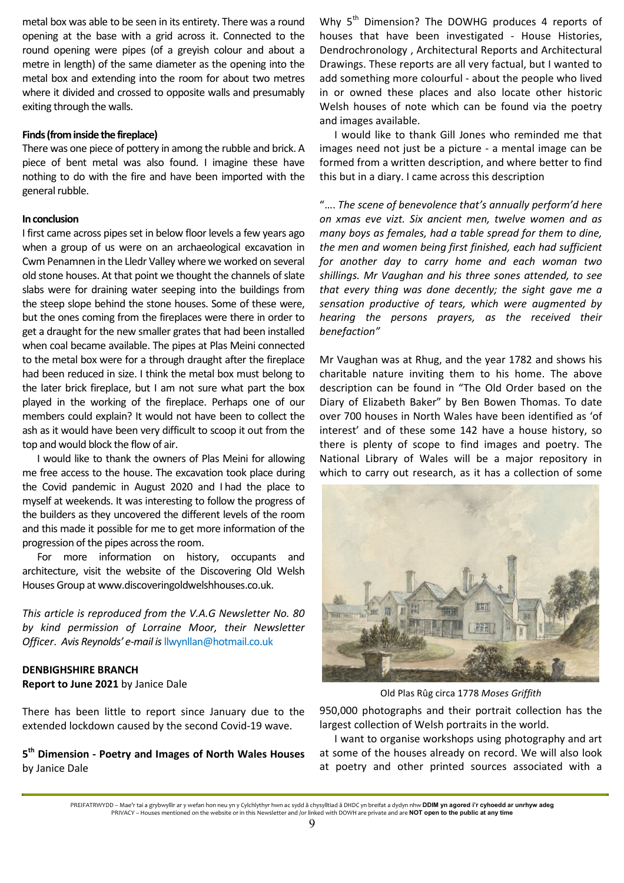metal box was able to be seen in its entirety. There was a round opening at the base with a grid across it. Connected to the round opening were pipes (of a greyish colour and about a metre in length) of the same diameter as the opening into the metal box and extending into the room for about two metres where it divided and crossed to opposite walls and presumably exiting through the walls.

## **Finds (from inside the fireplace)**

There was one piece of pottery in among the rubble and brick. A piece of bent metal was also found. I imagine these have nothing to do with the fire and have been imported with the general rubble.

## **In conclusion**

I first came across pipes set in below floor levels a few years ago when a group of us were on an archaeological excavation in Cwm Penamnen in the Lledr Valley where we worked on several old stone houses. At that point we thought the channels of slate slabs were for draining water seeping into the buildings from the steep slope behind the stone houses. Some of these were, but the ones coming from the fireplaces were there in order to get a draught for the new smaller grates that had been installed when coal became available. The pipes at Plas Meini connected to the metal box were for a through draught after the fireplace had been reduced in size. I think the metal box must belong to the later brick fireplace, but I am not sure what part the box played in the working of the fireplace. Perhaps one of our members could explain? It would not have been to collect the ash as it would have been very difficult to scoop it out from the top and would block the flow of air.

I would like to thank the owners of Plas Meini for allowing me free access to the house. The excavation took place during the Covid pandemic in August 2020 and I had the place to myself at weekends. It was interesting to follow the progress of the builders as they uncovered the different levels of the room and this made it possible for me to get more information of the progression of the pipes across the room.

For more information on history, occupants and architecture, visit the website of the Discovering Old Welsh Houses Group at www.discoveringoldwelshhouses.co.uk.

*This article is reproduced from the V.A.G Newsletter No. 80 by kind permission of Lorraine Moor, their Newsletter Officer*. *Avis Reynolds' e-mail is* llwynllan@hotmail.co.uk

# **DENBIGHSHIRE BRANCH Report to June 2021** by Janice Dale

There has been little to report since January due to the extended lockdown caused by the second Covid-19 wave.

**5 th Dimension - Poetry and Images of North Wales Houses** by Janice Dale

Why 5<sup>th</sup> Dimension? The DOWHG produces 4 reports of houses that have been investigated - House Histories, Dendrochronology , Architectural Reports and Architectural Drawings. These reports are all very factual, but I wanted to add something more colourful - about the people who lived in or owned these places and also locate other historic Welsh houses of note which can be found via the poetry and images available.

I would like to thank Gill Jones who reminded me that images need not just be a picture - a mental image can be formed from a written description, and where better to find this but in a diary. I came across this description

"…. *The scene of benevolence that's annually perform'd here on xmas eve vizt. Six ancient men, twelve women and as many boys as females, had a table spread for them to dine, the men and women being first finished, each had sufficient for another day to carry home and each woman two shillings. Mr Vaughan and his three sones attended, to see that every thing was done decently; the sight gave me a sensation productive of tears, which were augmented by hearing the persons prayers, as the received their benefaction"* 

Mr Vaughan was at Rhug, and the year 1782 and shows his charitable nature inviting them to his home. The above description can be found in "The Old Order based on the Diary of Elizabeth Baker" by Ben Bowen Thomas. To date over 700 houses in North Wales have been identified as 'of interest' and of these some 142 have a house history, so there is plenty of scope to find images and poetry. The National Library of Wales will be a major repository in which to carry out research, as it has a collection of some



Old Plas Rûg circa 1778 *Moses Griffith*

950,000 photographs and their portrait collection has the largest collection of Welsh portraits in the world.

I want to organise workshops using photography and art at some of the houses already on record. We will also look at poetry and other printed sources associated with a

PREIFATRWYDD – Mae'r tai a grybwyllir ar y wefan hon neu yn y Cylchlythyr hwn ac sydd â chysylltiad â DHDC yn breifat a dydyn nhw **DDIM yn agored i'r cyhoedd ar unrhyw adeg** PRIVACY – Houses mentioned on the website or in this Newsletter and /or linked with DOWH are private and are **NOT open to the public at any time**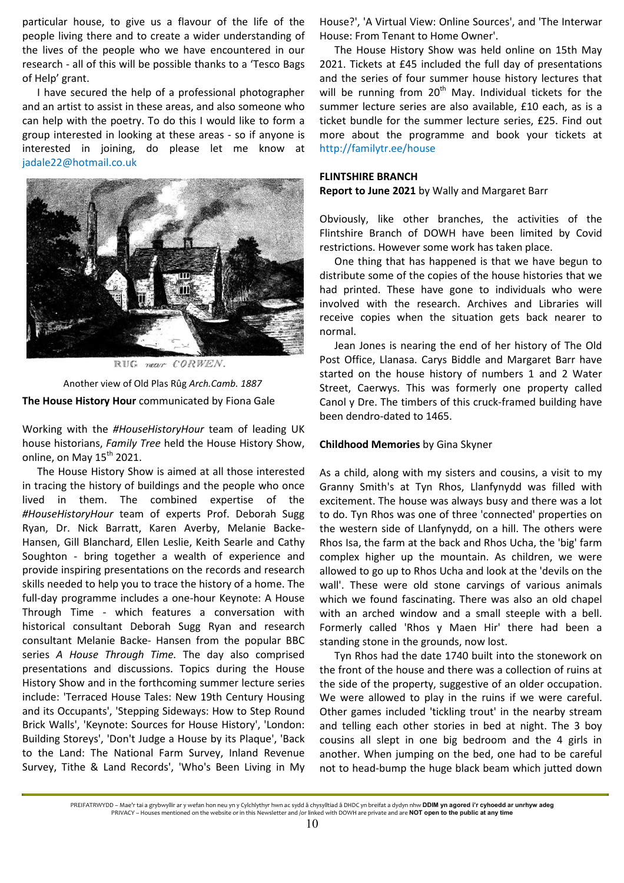particular house, to give us a flavour of the life of the people living there and to create a wider understanding of the lives of the people who we have encountered in our research - all of this will be possible thanks to a 'Tesco Bags of Help' grant.

I have secured the help of a professional photographer and an artist to assist in these areas, and also someone who can help with the poetry. To do this I would like to form a group interested in looking at these areas - so if anyone is interested in joining, do please let me know at jadale22@hotmail.co.uk



**The House History Hour** communicated by Fiona Gale Another view of Old Plas Rûg *Arch.Camb. 1887* 

Working with the *#HouseHistoryHour* team of leading UK house historians, *Family Tree* held the House History Show, online, on May  $15^{th}$  2021.

The House History Show is aimed at all those interested in tracing the history of buildings and the people who once lived in them. The combined expertise of the *#HouseHistoryHour* team of experts Prof. Deborah Sugg Ryan, Dr. Nick Barratt, Karen Averby, Melanie Backe-Hansen, Gill Blanchard, Ellen Leslie, Keith Searle and Cathy Soughton - bring together a wealth of experience and provide inspiring presentations on the records and research skills needed to help you to trace the history of a home. The full-day programme includes a one-hour Keynote: A House Through Time - which features a conversation with historical consultant Deborah Sugg Ryan and research consultant Melanie Backe- Hansen from the popular BBC series *A House Through Time.* The day also comprised presentations and discussions. Topics during the House History Show and in the forthcoming summer lecture series include: 'Terraced House Tales: New 19th Century Housing and its Occupants', 'Stepping Sideways: How to Step Round Brick Walls', 'Keynote: Sources for House History', 'London: Building Storeys', 'Don't Judge a House by its Plaque', 'Back to the Land: The National Farm Survey, Inland Revenue Survey, Tithe & Land Records', 'Who's Been Living in My House?', 'A Virtual View: Online Sources', and 'The Interwar House: From Tenant to Home Owner'.

The House History Show was held online on 15th May 2021. Tickets at £45 included the full day of presentations and the series of four summer house history lectures that will be running from  $20<sup>th</sup>$  May. Individual tickets for the summer lecture series are also available, £10 each, as is a ticket bundle for the summer lecture series, £25. Find out more about the programme and book your tickets at http://familytr.ee/house

### **FLINTSHIRE BRANCH**

**Report to June 2021** by Wally and Margaret Barr

Obviously, like other branches, the activities of the Flintshire Branch of DOWH have been limited by Covid restrictions. However some work has taken place.

One thing that has happened is that we have begun to distribute some of the copies of the house histories that we had printed. These have gone to individuals who were involved with the research. Archives and Libraries will receive copies when the situation gets back nearer to normal.

Jean Jones is nearing the end of her history of The Old Post Office, Llanasa. Carys Biddle and Margaret Barr have started on the house history of numbers 1 and 2 Water Street, Caerwys. This was formerly one property called Canol y Dre. The timbers of this cruck-framed building have been dendro-dated to 1465.

## **Childhood Memories** by Gina Skyner

As a child, along with my sisters and cousins, a visit to my Granny Smith's at Tyn Rhos, Llanfynydd was filled with excitement. The house was always busy and there was a lot to do. Tyn Rhos was one of three 'connected' properties on the western side of Llanfynydd, on a hill. The others were Rhos Isa, the farm at the back and Rhos Ucha, the 'big' farm complex higher up the mountain. As children, we were allowed to go up to Rhos Ucha and look at the 'devils on the wall'. These were old stone carvings of various animals which we found fascinating. There was also an old chapel with an arched window and a small steeple with a bell. Formerly called 'Rhos y Maen Hir' there had been a standing stone in the grounds, now lost.

Tyn Rhos had the date 1740 built into the stonework on the front of the house and there was a collection of ruins at the side of the property, suggestive of an older occupation. We were allowed to play in the ruins if we were careful. Other games included 'tickling trout' in the nearby stream and telling each other stories in bed at night. The 3 boy cousins all slept in one big bedroom and the 4 girls in another. When jumping on the bed, one had to be careful not to head-bump the huge black beam which jutted down

PREIFATRWYDD – Mae'r tai a grybwyllir ar y wefan hon neu yn y Cylchlythyr hwn ac sydd â chysylltiad â DHDC yn breifat a dydyn nhw **DDIM yn agored i'r cyhoedd ar unrhyw adeg** PRIVACY – Houses mentioned on the website or in this Newsletter and /or linked with DOWH are private and are **NOT open to the public at any time**